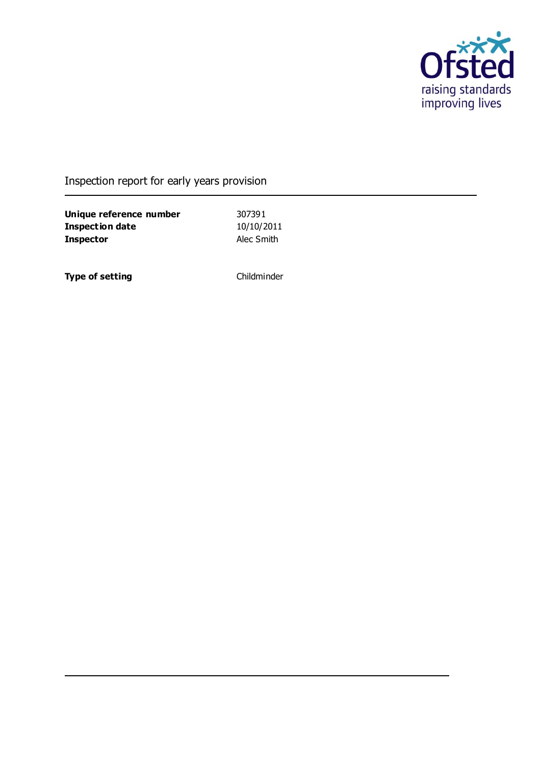

### Inspection report for early years provision

**Unique reference number** 307391<br> **Inspection date** 10/10/2011 **Inspection date Inspector** Alec Smith

**Type of setting** Childminder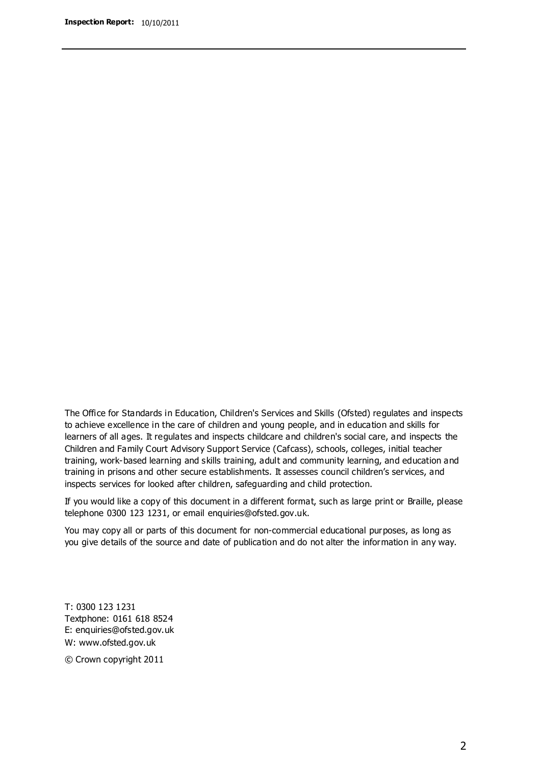The Office for Standards in Education, Children's Services and Skills (Ofsted) regulates and inspects to achieve excellence in the care of children and young people, and in education and skills for learners of all ages. It regulates and inspects childcare and children's social care, and inspects the Children and Family Court Advisory Support Service (Cafcass), schools, colleges, initial teacher training, work-based learning and skills training, adult and community learning, and education and training in prisons and other secure establishments. It assesses council children's services, and inspects services for looked after children, safeguarding and child protection.

If you would like a copy of this document in a different format, such as large print or Braille, please telephone 0300 123 1231, or email enquiries@ofsted.gov.uk.

You may copy all or parts of this document for non-commercial educational purposes, as long as you give details of the source and date of publication and do not alter the information in any way.

T: 0300 123 1231 Textphone: 0161 618 8524 E: enquiries@ofsted.gov.uk W: [www.ofsted.gov.uk](http://www.ofsted.gov.uk/)

© Crown copyright 2011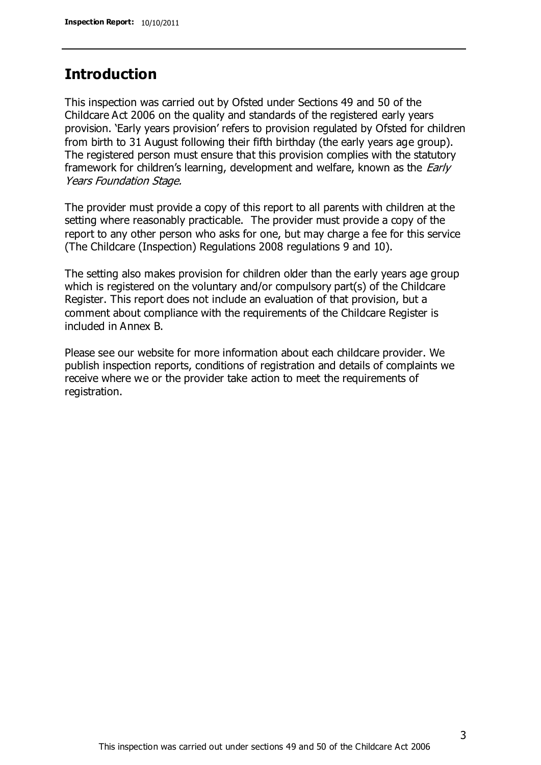### **Introduction**

This inspection was carried out by Ofsted under Sections 49 and 50 of the Childcare Act 2006 on the quality and standards of the registered early years provision. 'Early years provision' refers to provision regulated by Ofsted for children from birth to 31 August following their fifth birthday (the early years age group). The registered person must ensure that this provision complies with the statutory framework for children's learning, development and welfare, known as the *Early* Years Foundation Stage.

The provider must provide a copy of this report to all parents with children at the setting where reasonably practicable. The provider must provide a copy of the report to any other person who asks for one, but may charge a fee for this service (The Childcare (Inspection) Regulations 2008 regulations 9 and 10).

The setting also makes provision for children older than the early years age group which is registered on the voluntary and/or compulsory part(s) of the Childcare Register. This report does not include an evaluation of that provision, but a comment about compliance with the requirements of the Childcare Register is included in Annex B.

Please see our website for more information about each childcare provider. We publish inspection reports, conditions of registration and details of complaints we receive where we or the provider take action to meet the requirements of registration.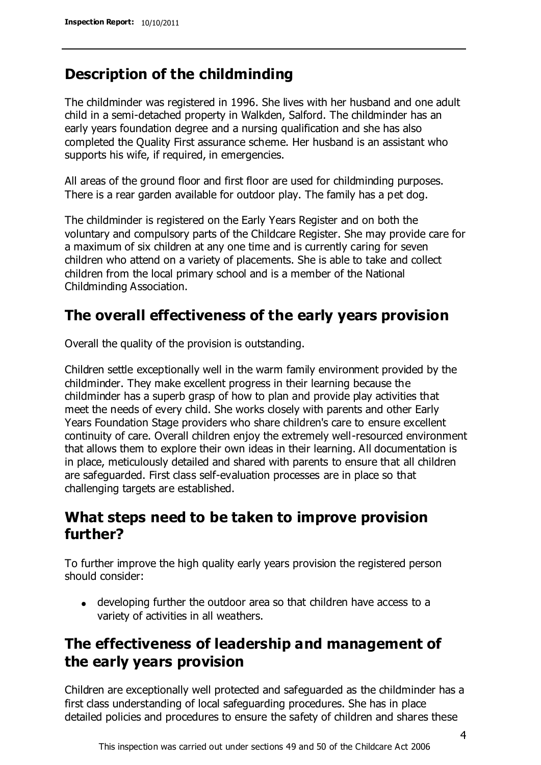## **Description of the childminding**

The childminder was registered in 1996. She lives with her husband and one adult child in a semi-detached property in Walkden, Salford. The childminder has an early years foundation degree and a nursing qualification and she has also completed the Quality First assurance scheme. Her husband is an assistant who supports his wife, if required, in emergencies.

All areas of the ground floor and first floor are used for childminding purposes. There is a rear garden available for outdoor play. The family has a pet dog.

The childminder is registered on the Early Years Register and on both the voluntary and compulsory parts of the Childcare Register. She may provide care for a maximum of six children at any one time and is currently caring for seven children who attend on a variety of placements. She is able to take and collect children from the local primary school and is a member of the National Childminding Association.

# **The overall effectiveness of the early years provision**

Overall the quality of the provision is outstanding.

Children settle exceptionally well in the warm family environment provided by the childminder. They make excellent progress in their learning because the childminder has a superb grasp of how to plan and provide play activities that meet the needs of every child. She works closely with parents and other Early Years Foundation Stage providers who share children's care to ensure excellent continuity of care. Overall children enjoy the extremely well-resourced environment that allows them to explore their own ideas in their learning. All documentation is in place, meticulously detailed and shared with parents to ensure that all children are safeguarded. First class self-evaluation processes are in place so that challenging targets are established.

## **What steps need to be taken to improve provision further?**

To further improve the high quality early years provision the registered person should consider:

developing further the outdoor area so that children have access to a variety of activities in all weathers.

# **The effectiveness of leadership and management of the early years provision**

Children are exceptionally well protected and safeguarded as the childminder has a first class understanding of local safeguarding procedures. She has in place detailed policies and procedures to ensure the safety of children and shares these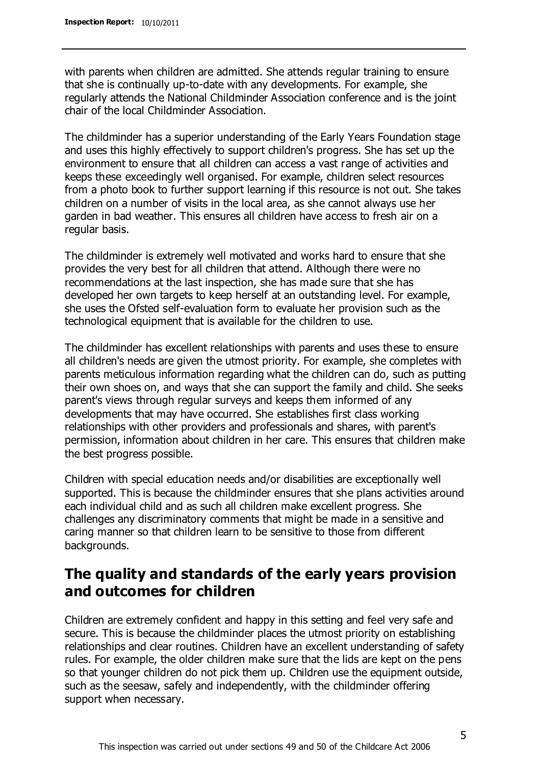with parents when children are admitted. She attends regular training to ensure that she is continually up-to-date with any developments. For example, she regularly attends the National Childminder Association conference and is the joint chair of the local Childminder Association.

The childminder has a superior understanding of the Early Years Foundation stage and uses this highly effectively to support children's progress. She has set up the environment to ensure that all children can access a vast range of activities and keeps these exceedingly well organised. For example, children select resources from a photo book to further support learning if this resource is not out. She takes children on a number of visits in the local area, as she cannot always use her garden in bad weather. This ensures all children have access to fresh air on a regular basis.

The childminder is extremely well motivated and works hard to ensure that she provides the very best for all children that attend. Although there were no recommendations at the last inspection, she has made sure that she has developed her own targets to keep herself at an outstanding level. For example, she uses the Ofsted self-evaluation form to evaluate her provision such as the technological equipment that is available for the children to use.

The childminder has excellent relationships with parents and uses these to ensure all children's needs are given the utmost priority. For example, she completes with parents meticulous information regarding what the children can do, such as putting their own shoes on, and ways that she can support the family and child. She seeks parent's views through regular surveys and keeps them informed of any developments that may have occurred. She establishes first class working relationships with other providers and professionals and shares, with parent's permission, information about children in her care. This ensures that children make the best progress possible.

Children with special education needs and/or disabilities are exceptionally well supported. This is because the childminder ensures that she plans activities around each individual child and as such all children make excellent progress. She challenges any discriminatory comments that might be made in a sensitive and caring manner so that children learn to be sensitive to those from different backgrounds.

# **The quality and standards of the early years provision and outcomes for children**

Children are extremely confident and happy in this setting and feel very safe and secure. This is because the childminder places the utmost priority on establishing relationships and clear routines. Children have an excellent understanding of safety rules. For example, the older children make sure that the lids are kept on the pens so that younger children do not pick them up. Children use the equipment outside, such as the seesaw, safely and independently, with the childminder offering support when necessary.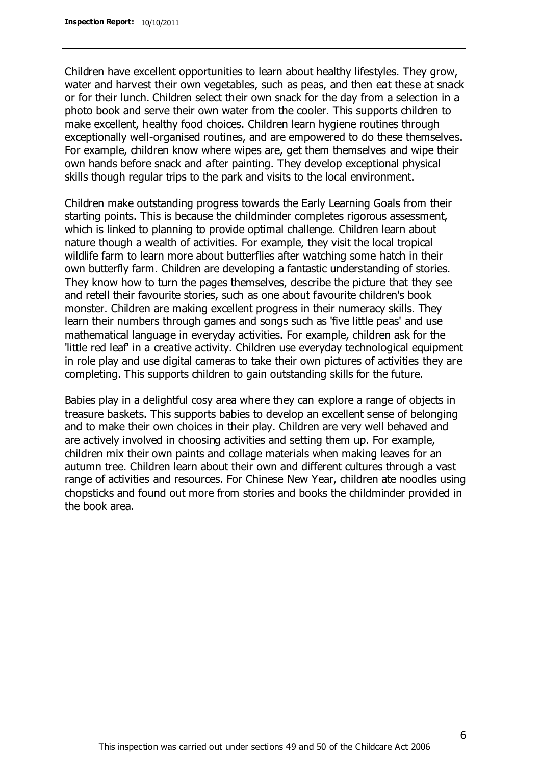Children have excellent opportunities to learn about healthy lifestyles. They grow, water and harvest their own vegetables, such as peas, and then eat these at snack or for their lunch. Children select their own snack for the day from a selection in a photo book and serve their own water from the cooler. This supports children to make excellent, healthy food choices. Children learn hygiene routines through exceptionally well-organised routines, and are empowered to do these themselves. For example, children know where wipes are, get them themselves and wipe their own hands before snack and after painting. They develop exceptional physical skills though regular trips to the park and visits to the local environment.

Children make outstanding progress towards the Early Learning Goals from their starting points. This is because the childminder completes rigorous assessment, which is linked to planning to provide optimal challenge. Children learn about nature though a wealth of activities. For example, they visit the local tropical wildlife farm to learn more about butterflies after watching some hatch in their own butterfly farm. Children are developing a fantastic understanding of stories. They know how to turn the pages themselves, describe the picture that they see and retell their favourite stories, such as one about favourite children's book monster. Children are making excellent progress in their numeracy skills. They learn their numbers through games and songs such as 'five little peas' and use mathematical language in everyday activities. For example, children ask for the 'little red leaf' in a creative activity. Children use everyday technological equipment in role play and use digital cameras to take their own pictures of activities they are completing. This supports children to gain outstanding skills for the future.

Babies play in a delightful cosy area where they can explore a range of objects in treasure baskets. This supports babies to develop an excellent sense of belonging and to make their own choices in their play. Children are very well behaved and are actively involved in choosing activities and setting them up. For example, children mix their own paints and collage materials when making leaves for an autumn tree. Children learn about their own and different cultures through a vast range of activities and resources. For Chinese New Year, children ate noodles using chopsticks and found out more from stories and books the childminder provided in the book area.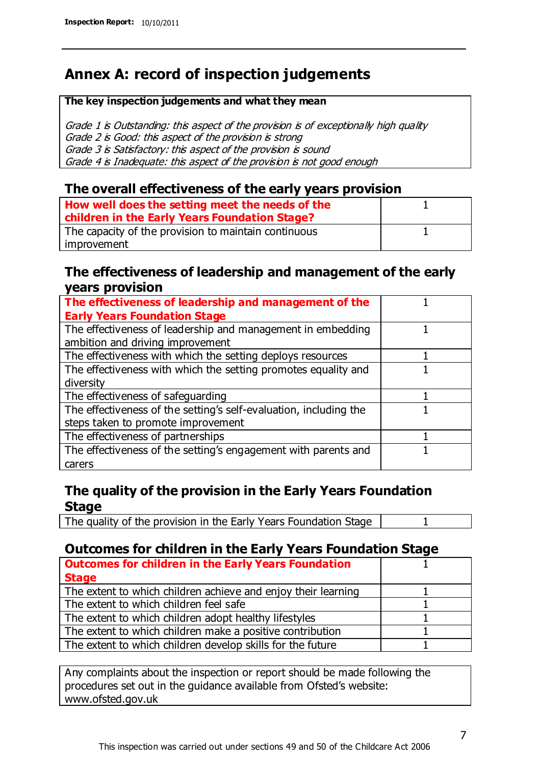# **Annex A: record of inspection judgements**

#### **The key inspection judgements and what they mean**

Grade 1 is Outstanding: this aspect of the provision is of exceptionally high quality Grade 2 is Good: this aspect of the provision is strong Grade 3 is Satisfactory: this aspect of the provision is sound Grade 4 is Inadequate: this aspect of the provision is not good enough

#### **The overall effectiveness of the early years provision**

| How well does the setting meet the needs of the<br>children in the Early Years Foundation Stage? |  |
|--------------------------------------------------------------------------------------------------|--|
| The capacity of the provision to maintain continuous                                             |  |
| improvement                                                                                      |  |

#### **The effectiveness of leadership and management of the early years provision**

| The effectiveness of leadership and management of the             |  |
|-------------------------------------------------------------------|--|
| <b>Early Years Foundation Stage</b>                               |  |
| The effectiveness of leadership and management in embedding       |  |
| ambition and driving improvement                                  |  |
| The effectiveness with which the setting deploys resources        |  |
| The effectiveness with which the setting promotes equality and    |  |
| diversity                                                         |  |
| The effectiveness of safeguarding                                 |  |
| The effectiveness of the setting's self-evaluation, including the |  |
| steps taken to promote improvement                                |  |
| The effectiveness of partnerships                                 |  |
| The effectiveness of the setting's engagement with parents and    |  |
| carers                                                            |  |

### **The quality of the provision in the Early Years Foundation Stage**

The quality of the provision in the Early Years Foundation Stage | 1

### **Outcomes for children in the Early Years Foundation Stage**

| <b>Outcomes for children in the Early Years Foundation</b>    |  |
|---------------------------------------------------------------|--|
| <b>Stage</b>                                                  |  |
| The extent to which children achieve and enjoy their learning |  |
| The extent to which children feel safe                        |  |
| The extent to which children adopt healthy lifestyles         |  |
| The extent to which children make a positive contribution     |  |
| The extent to which children develop skills for the future    |  |

Any complaints about the inspection or report should be made following the procedures set out in the guidance available from Ofsted's website: www.ofsted.gov.uk